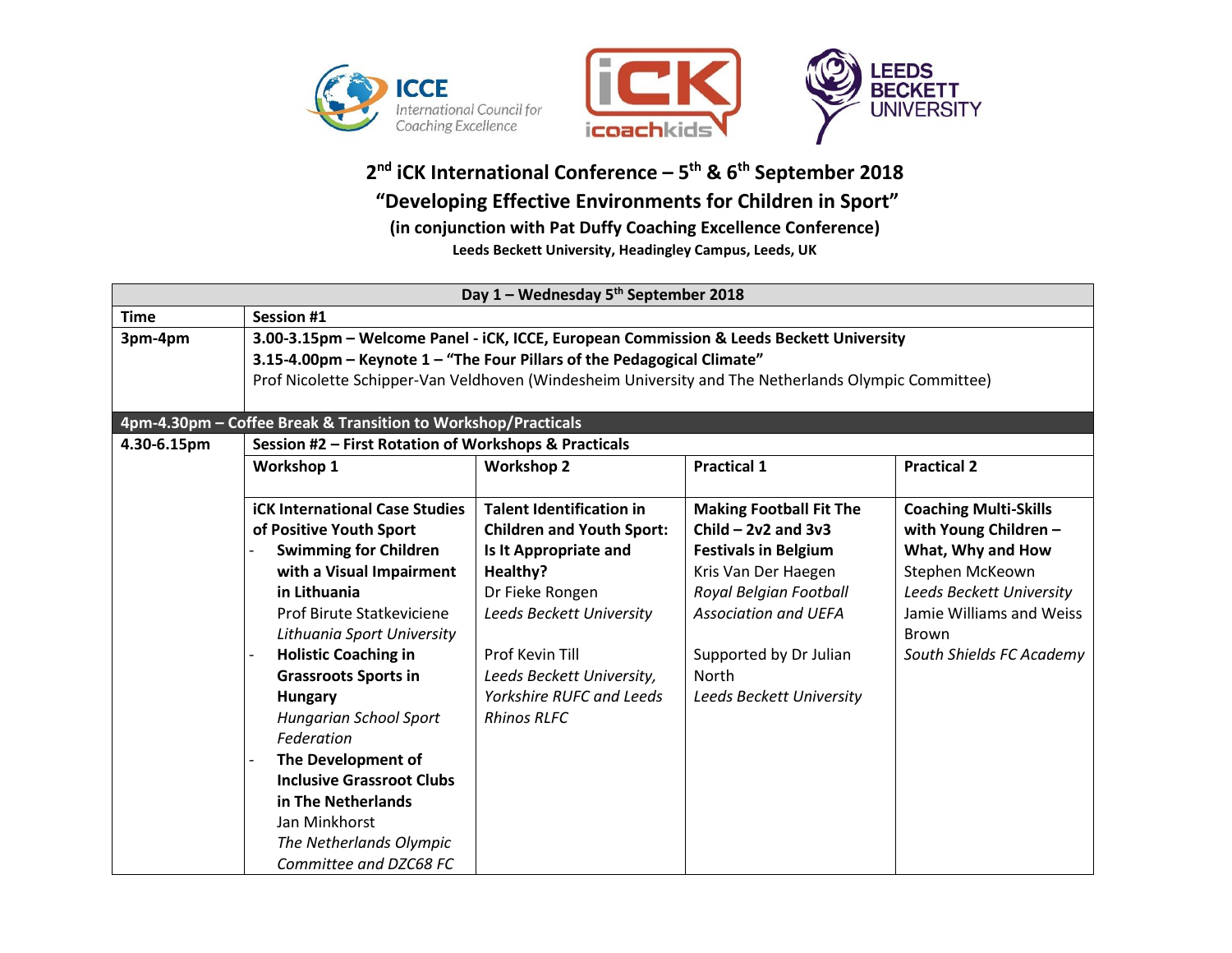



**2 nd iCK International Conference – 5 th & 6 th September 2018 "Developing Effective Environments for Children in Sport" (in conjunction with Pat Duffy Coaching Excellence Conference) Leeds Beckett University, Headingley Campus, Leeds, UK**

| Day 1 - Wednesday 5 <sup>th</sup> September 2018 |                                                                                                                                                                                                                                                                           |                                  |                                |                              |  |  |  |
|--------------------------------------------------|---------------------------------------------------------------------------------------------------------------------------------------------------------------------------------------------------------------------------------------------------------------------------|----------------------------------|--------------------------------|------------------------------|--|--|--|
| <b>Time</b>                                      | <b>Session #1</b>                                                                                                                                                                                                                                                         |                                  |                                |                              |  |  |  |
| 3pm-4pm                                          | 3.00-3.15pm - Welcome Panel - iCK, ICCE, European Commission & Leeds Beckett University<br>3.15-4.00pm - Keynote 1 - "The Four Pillars of the Pedagogical Climate"<br>Prof Nicolette Schipper-Van Veldhoven (Windesheim University and The Netherlands Olympic Committee) |                                  |                                |                              |  |  |  |
|                                                  |                                                                                                                                                                                                                                                                           |                                  |                                |                              |  |  |  |
|                                                  |                                                                                                                                                                                                                                                                           |                                  |                                |                              |  |  |  |
|                                                  |                                                                                                                                                                                                                                                                           |                                  |                                |                              |  |  |  |
|                                                  | 4pm-4.30pm - Coffee Break & Transition to Workshop/Practicals                                                                                                                                                                                                             |                                  |                                |                              |  |  |  |
| 4.30-6.15pm                                      | Session #2 - First Rotation of Workshops & Practicals                                                                                                                                                                                                                     |                                  |                                |                              |  |  |  |
|                                                  | Workshop 1                                                                                                                                                                                                                                                                | <b>Workshop 2</b>                | <b>Practical 1</b>             | <b>Practical 2</b>           |  |  |  |
|                                                  |                                                                                                                                                                                                                                                                           |                                  |                                |                              |  |  |  |
|                                                  | <b>iCK International Case Studies</b>                                                                                                                                                                                                                                     | <b>Talent Identification in</b>  | <b>Making Football Fit The</b> | <b>Coaching Multi-Skills</b> |  |  |  |
|                                                  | of Positive Youth Sport                                                                                                                                                                                                                                                   | <b>Children and Youth Sport:</b> | Child $-$ 2v2 and 3v3          | with Young Children -        |  |  |  |
|                                                  | <b>Swimming for Children</b>                                                                                                                                                                                                                                              | Is It Appropriate and            | <b>Festivals in Belgium</b>    | What, Why and How            |  |  |  |
|                                                  | with a Visual Impairment                                                                                                                                                                                                                                                  | Healthy?                         | Kris Van Der Haegen            | Stephen McKeown              |  |  |  |
|                                                  | in Lithuania                                                                                                                                                                                                                                                              | Dr Fieke Rongen                  | Royal Belgian Football         | Leeds Beckett University     |  |  |  |
|                                                  | Prof Birute Statkeviciene                                                                                                                                                                                                                                                 | Leeds Beckett University         | <b>Association and UEFA</b>    | Jamie Williams and Weiss     |  |  |  |
|                                                  | Lithuania Sport University                                                                                                                                                                                                                                                |                                  |                                | <b>Brown</b>                 |  |  |  |
|                                                  | <b>Holistic Coaching in</b>                                                                                                                                                                                                                                               | Prof Kevin Till                  | Supported by Dr Julian         | South Shields FC Academy     |  |  |  |
|                                                  | <b>Grassroots Sports in</b>                                                                                                                                                                                                                                               | Leeds Beckett University,        | <b>North</b>                   |                              |  |  |  |
|                                                  | <b>Hungary</b>                                                                                                                                                                                                                                                            | <b>Yorkshire RUFC and Leeds</b>  | Leeds Beckett University       |                              |  |  |  |
|                                                  | <b>Hungarian School Sport</b>                                                                                                                                                                                                                                             | <b>Rhinos RLFC</b>               |                                |                              |  |  |  |
|                                                  | Federation                                                                                                                                                                                                                                                                |                                  |                                |                              |  |  |  |
|                                                  | The Development of                                                                                                                                                                                                                                                        |                                  |                                |                              |  |  |  |
|                                                  | <b>Inclusive Grassroot Clubs</b>                                                                                                                                                                                                                                          |                                  |                                |                              |  |  |  |
|                                                  | in The Netherlands                                                                                                                                                                                                                                                        |                                  |                                |                              |  |  |  |
|                                                  | Jan Minkhorst                                                                                                                                                                                                                                                             |                                  |                                |                              |  |  |  |
|                                                  | The Netherlands Olympic                                                                                                                                                                                                                                                   |                                  |                                |                              |  |  |  |
|                                                  | Committee and DZC68 FC                                                                                                                                                                                                                                                    |                                  |                                |                              |  |  |  |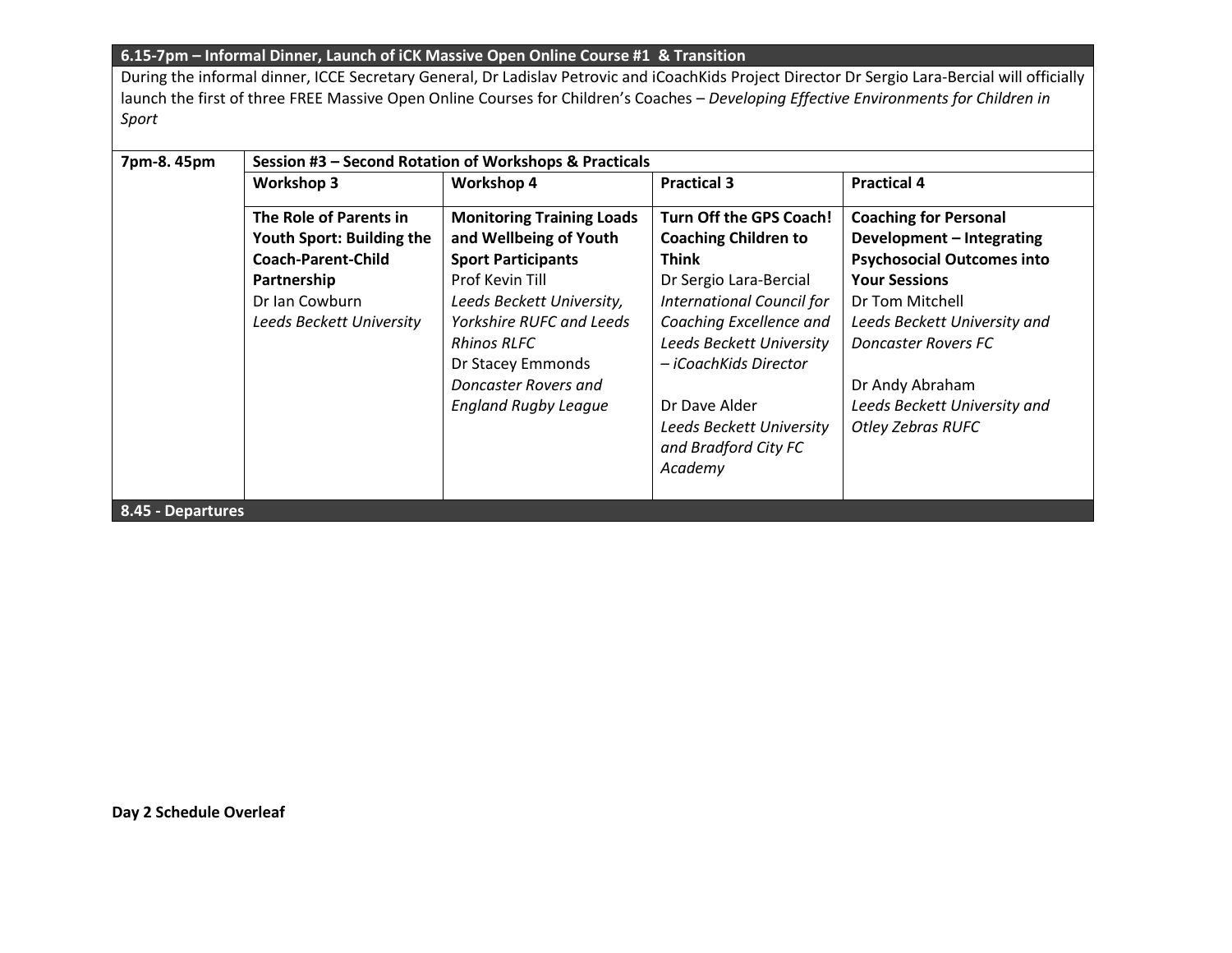## **6.15-7pm – Informal Dinner, Launch of iCK Massive Open Online Course #1 & Transition**

During the informal dinner, ICCE Secretary General, Dr Ladislav Petrovic and iCoachKids Project Director Dr Sergio Lara-Bercial will officially launch the first of three FREE Massive Open Online Courses for Children's Coaches – *Developing Effective Environments for Children in Sport*

| 7pm-8.45pm        | Session #3 - Second Rotation of Workshops & Practicals |                                  |                                  |                                   |  |  |
|-------------------|--------------------------------------------------------|----------------------------------|----------------------------------|-----------------------------------|--|--|
|                   | <b>Workshop 3</b>                                      | <b>Workshop 4</b>                | <b>Practical 3</b>               | <b>Practical 4</b>                |  |  |
|                   | The Role of Parents in                                 | <b>Monitoring Training Loads</b> | Turn Off the GPS Coach!          | <b>Coaching for Personal</b>      |  |  |
|                   | Youth Sport: Building the                              | and Wellbeing of Youth           | <b>Coaching Children to</b>      | Development - Integrating         |  |  |
|                   | <b>Coach-Parent-Child</b>                              | <b>Sport Participants</b>        | <b>Think</b>                     | <b>Psychosocial Outcomes into</b> |  |  |
|                   | Partnership                                            | Prof Kevin Till                  | Dr Sergio Lara-Bercial           | <b>Your Sessions</b>              |  |  |
|                   | Dr Ian Cowburn                                         | Leeds Beckett University,        | <b>International Council for</b> | Dr Tom Mitchell                   |  |  |
|                   | Leeds Beckett University                               | <b>Yorkshire RUFC and Leeds</b>  | Coaching Excellence and          | Leeds Beckett University and      |  |  |
|                   |                                                        | <b>Rhinos RLFC</b>               | Leeds Beckett University         | <b>Doncaster Rovers FC</b>        |  |  |
|                   |                                                        | Dr Stacey Emmonds                | – iCoachKids Director            |                                   |  |  |
|                   |                                                        | Doncaster Rovers and             |                                  | Dr Andy Abraham                   |  |  |
|                   |                                                        | <b>England Rugby League</b>      | Dr Dave Alder                    | Leeds Beckett University and      |  |  |
|                   |                                                        |                                  | Leeds Beckett University         | <b>Otley Zebras RUFC</b>          |  |  |
|                   |                                                        |                                  | and Bradford City FC             |                                   |  |  |
|                   |                                                        |                                  | Academy                          |                                   |  |  |
|                   |                                                        |                                  |                                  |                                   |  |  |
| 8.45 - Departures |                                                        |                                  |                                  |                                   |  |  |

**Day 2 Schedule Overleaf**